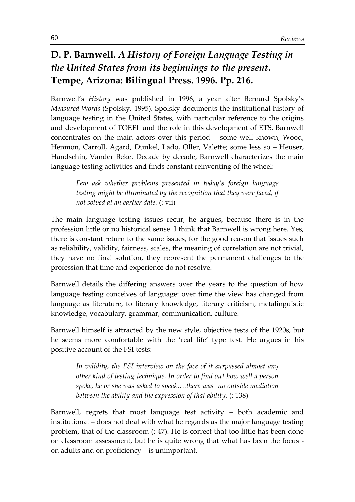## **D. P. Barnwell.** *A History of Foreign Language Testing in the United States from its beginnings to the present***. Tempe, Arizona: Bilingual Press. 1996. Pp. 216.**

Barnwell's *History* was published in 1996, a year after Bernard Spolsky's *Measured Words* (Spolsky, 1995). Spolsky documents the institutional history of language testing in the United States, with particular reference to the origins and development of TOEFL and the role in this development of ETS. Barnwell concentrates on the main actors over this period – some well known, Wood, Henmon, Carroll, Agard, Dunkel, Lado, Oller, Valette; some less so – Heuser, Handschin, Vander Beke. Decade by decade, Barnwell characterizes the main language testing activities and finds constant reinventing of the wheel:

*Few ask whether problems presented in today's foreign language testing might be illuminated by the recognition that they were faced, if not solved at an earlier date.* (: vii)

The main language testing issues recur, he argues, because there is in the profession little or no historical sense. I think that Barnwell is wrong here. Yes, there is constant return to the same issues, for the good reason that issues such as reliability, validity, fairness, scales, the meaning of correlation are not trivial, they have no final solution, they represent the permanent challenges to the profession that time and experience do not resolve.

Barnwell details the differing answers over the years to the question of how language testing conceives of language: over time the view has changed from language as literature, to literary knowledge, literary criticism, metalinguistic knowledge, vocabulary, grammar, communication, culture.

Barnwell himself is attracted by the new style, objective tests of the 1920s, but he seems more comfortable with the 'real life' type test. He argues in his positive account of the FSI tests:

*In validity, the FSI interview on the face of it surpassed almost any other kind of testing technique. In order to find out how well a person spoke, he or she was asked to speak….there was no outside mediation between the ability and the expression of that ability.* (: 138)

Barnwell, regrets that most language test activity – both academic and institutional – does not deal with what he regards as the major language testing problem, that of the classroom (: 47). He is correct that too little has been done on classroom assessment, but he is quite wrong that what has been the focus on adults and on proficiency – is unimportant.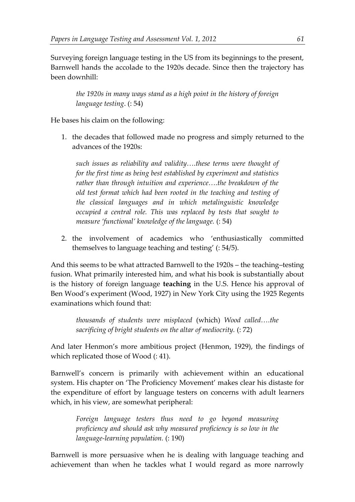Surveying foreign language testing in the US from its beginnings to the present, Barnwell hands the accolade to the 1920s decade. Since then the trajectory has been downhill:

*the 1920s in many ways stand as a high point in the history of foreign language testing*. (: 54)

He bases his claim on the following:

1. the decades that followed made no progress and simply returned to the advances of the 1920s:

*such issues as reliability and validity….these terms were thought of for the first time as being best established by experiment and statistics rather than through intuition and experience….the breakdown of the old test format which had been rooted in the teaching and testing of the classical languages and in which metalinguistic knowledge occupied a central role. This was replaced by tests that sought to measure 'functional' knowledge of the language.* (: 54)

2. the involvement of academics who 'enthusiastically committed themselves to language teaching and testing' (: 54/5).

And this seems to be what attracted Barnwell to the 1920s – the teaching–testing fusion. What primarily interested him, and what his book is substantially about is the history of foreign language **teaching** in the U.S. Hence his approval of Ben Wood's experiment (Wood, 1927) in New York City using the 1925 Regents examinations which found that:

*thousands of students were misplaced* (which) *Wood called….the sacrificing of bright students on the altar of mediocrity.* (: 72)

And later Henmon's more ambitious project (Henmon, 1929), the findings of which replicated those of Wood (: 41).

Barnwell's concern is primarily with achievement within an educational system. His chapter on 'The Proficiency Movement' makes clear his distaste for the expenditure of effort by language testers on concerns with adult learners which, in his view, are somewhat peripheral:

*Foreign language testers thus need to go beyond measuring proficiency and should ask why measured proficiency is so low in the language-learning population.* (: 190)

Barnwell is more persuasive when he is dealing with language teaching and achievement than when he tackles what I would regard as more narrowly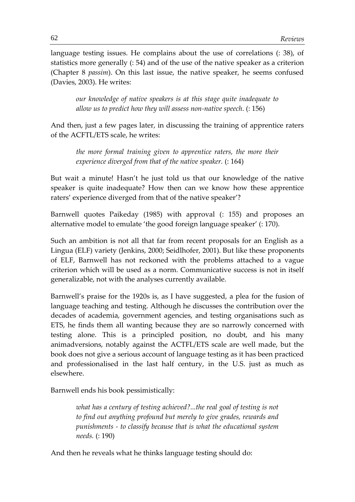language testing issues. He complains about the use of correlations (: 38), of statistics more generally (: 54) and of the use of the native speaker as a criterion (Chapter 8 *passim*). On this last issue, the native speaker, he seems confused (Davies, 2003). He writes:

*our knowledge of native speakers is at this stage quite inadequate to allow us to predict how they will assess non-native speech*. (: 156)

And then, just a few pages later, in discussing the training of apprentice raters of the ACFTL/ETS scale, he writes:

*the more formal training given to apprentice raters, the more their experience diverged from that of the native speaker.* (: 164)

But wait a minute! Hasn't he just told us that our knowledge of the native speaker is quite inadequate? How then can we know how these apprentice raters' experience diverged from that of the native speaker'?

Barnwell quotes Paikeday (1985) with approval (: 155) and proposes an alternative model to emulate 'the good foreign language speaker' (: 170).

Such an ambition is not all that far from recent proposals for an English as a Lingua (ELF) variety (Jenkins, 2000; Seidlhofer, 2001). But like these proponents of ELF, Barnwell has not reckoned with the problems attached to a vague criterion which will be used as a norm. Communicative success is not in itself generalizable, not with the analyses currently available.

Barnwell's praise for the 1920s is, as I have suggested, a plea for the fusion of language teaching and testing. Although he discusses the contribution over the decades of academia, government agencies, and testing organisations such as ETS, he finds them all wanting because they are so narrowly concerned with testing alone. This is a principled position, no doubt, and his many animadversions, notably against the ACTFL/ETS scale are well made, but the book does not give a serious account of language testing as it has been practiced and professionalised in the last half century, in the U.S. just as much as elsewhere.

Barnwell ends his book pessimistically:

*what has a century of testing achieved?...the real goal of testing is not to find out anything profound but merely to give grades, rewards and punishments - to classify because that is what the educational system needs.* (: 190)

And then he reveals what he thinks language testing should do: